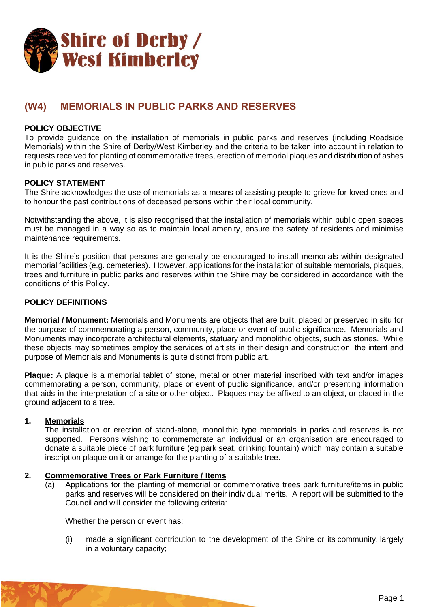

# **(W4) MEMORIALS IN PUBLIC PARKS AND RESERVES**

# **POLICY OBJECTIVE**

To provide guidance on the installation of memorials in public parks and reserves (including Roadside Memorials) within the Shire of Derby/West Kimberley and the criteria to be taken into account in relation to requests received for planting of commemorative trees, erection of memorial plaques and distribution of ashes in public parks and reserves.

#### **POLICY STATEMENT**

The Shire acknowledges the use of memorials as a means of assisting people to grieve for loved ones and to honour the past contributions of deceased persons within their local community.

Notwithstanding the above, it is also recognised that the installation of memorials within public open spaces must be managed in a way so as to maintain local amenity, ensure the safety of residents and minimise maintenance requirements.

It is the Shire's position that persons are generally be encouraged to install memorials within designated memorial facilities (e.g. cemeteries). However, applications for the installation of suitable memorials, plaques, trees and furniture in public parks and reserves within the Shire may be considered in accordance with the conditions of this Policy.

## **POLICY DEFINITIONS**

**Memorial / Monument:** Memorials and Monuments are objects that are built, placed or preserved in situ for the purpose of commemorating a person, community, place or event of public significance. Memorials and Monuments may incorporate architectural elements, statuary and monolithic objects, such as stones. While these objects may sometimes employ the services of artists in their design and construction, the intent and purpose of Memorials and Monuments is quite distinct from public art.

**Plaque:** A plaque is a memorial tablet of stone, metal or other material inscribed with text and/or images commemorating a person, community, place or event of public significance, and/or presenting information that aids in the interpretation of a site or other object. Plaques may be affixed to an object, or placed in the ground adjacent to a tree.

#### **1. Memorials**

The installation or erection of stand-alone, monolithic type memorials in parks and reserves is not supported. Persons wishing to commemorate an individual or an organisation are encouraged to donate a suitable piece of park furniture (eg park seat, drinking fountain) which may contain a suitable inscription plaque on it or arrange for the planting of a suitable tree.

#### **2. Commemorative Trees or Park Furniture / Items**

(a) Applications for the planting of memorial or commemorative trees park furniture/items in public parks and reserves will be considered on their individual merits. A report will be submitted to the Council and will consider the following criteria:

Whether the person or event has:

(i) made a significant contribution to the development of the Shire or its community, largely in a voluntary capacity;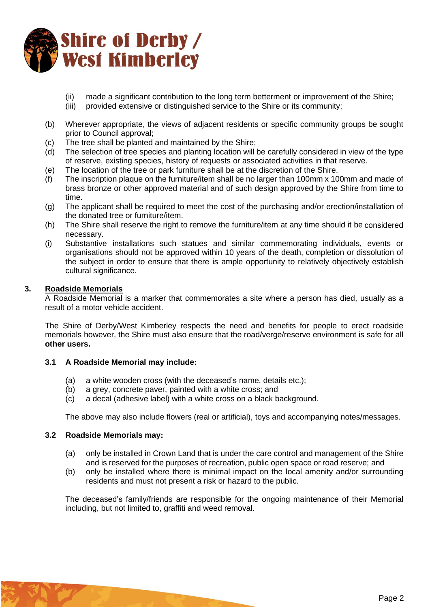

- (ii) made a significant contribution to the long term betterment or improvement of the Shire;
- (iii) provided extensive or distinguished service to the Shire or its community;
- (b) Wherever appropriate, the views of adjacent residents or specific community groups be sought prior to Council approval;
- (c) The tree shall be planted and maintained by the Shire;
- (d) The selection of tree species and planting location will be carefully considered in view of the type of reserve, existing species, history of requests or associated activities in that reserve.
- (e) The location of the tree or park furniture shall be at the discretion of the Shire.
- (f) The inscription plaque on the furniture/item shall be no larger than 100mm x 100mm and made of brass bronze or other approved material and of such design approved by the Shire from time to time.
- (g) The applicant shall be required to meet the cost of the purchasing and/or erection/installation of the donated tree or furniture/item.
- (h) The Shire shall reserve the right to remove the furniture/item at any time should it be considered necessary.
- (i) Substantive installations such statues and similar commemorating individuals, events or organisations should not be approved within 10 years of the death, completion or dissolution of the subject in order to ensure that there is ample opportunity to relatively objectively establish cultural significance.

## **3. Roadside Memorials**

A Roadside Memorial is a marker that commemorates a site where a person has died, usually as a result of a motor vehicle accident.

The Shire of Derby/West Kimberley respects the need and benefits for people to erect roadside memorials however, the Shire must also ensure that the road/verge/reserve environment is safe for all **other users.**

## **3.1 A Roadside Memorial may include:**

- (a) a white wooden cross (with the deceased's name, details etc.);
- (b) a grey, concrete paver, painted with a white cross; and
- (c) a decal (adhesive label) with a white cross on a black background.

The above may also include flowers (real or artificial), toys and accompanying notes/messages.

## **3.2 Roadside Memorials may:**

- (a) only be installed in Crown Land that is under the care control and management of the Shire and is reserved for the purposes of recreation, public open space or road reserve; and
- (b) only be installed where there is minimal impact on the local amenity and/or surrounding residents and must not present a risk or hazard to the public.

The deceased's family/friends are responsible for the ongoing maintenance of their Memorial including, but not limited to, graffiti and weed removal.